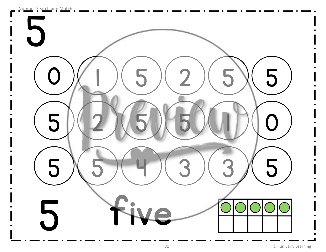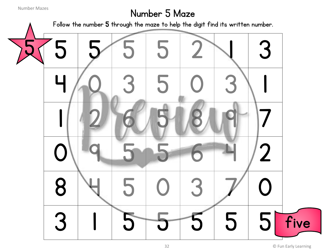## Number 5 Maze

Follow the number 5 through the maze to help the digit find its written number.

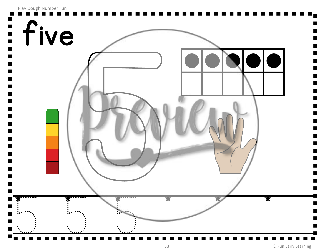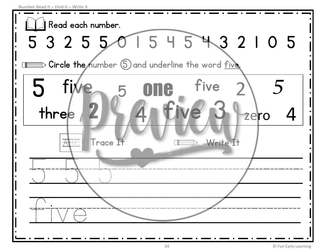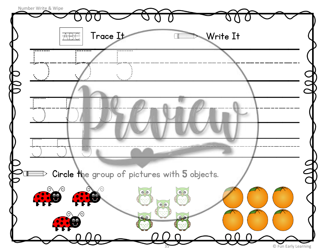